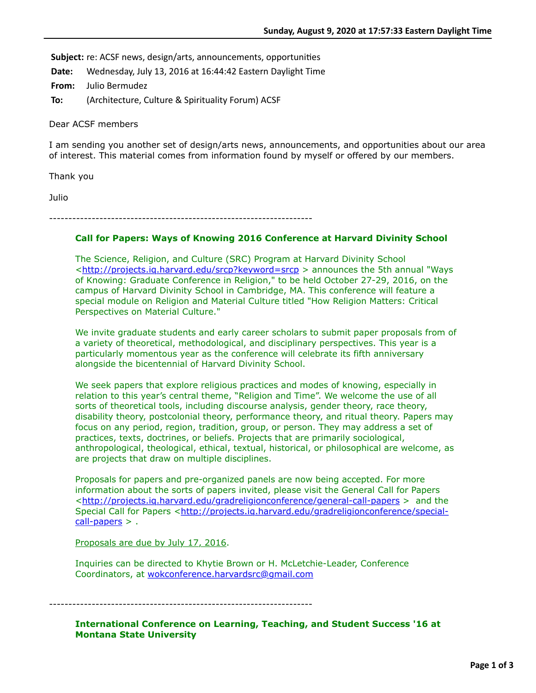Subject: re: ACSF news, design/arts, announcements, opportunities

**Date:** Wednesday, July 13, 2016 at 16:44:42 Eastern Daylight Time

**From:** Julio Bermudez

**To:** (Architecture, Culture & Spirituality Forum) ACSF

Dear ACSF members

I am sending you another set of design/arts news, announcements, and opportunities about our area of interest. This material comes from information found by myself or offered by our members.

Thank you

Julio

--------------------------------------------------------------------

# **Call for Papers: Ways of Knowing 2016 Conference at Harvard Divinity School**

The Science, Religion, and Culture (SRC) Program at Harvard Divinity School <<http://projects.iq.harvard.edu/srcp?keyword=srcp>> announces the 5th annual "Ways of Knowing: Graduate Conference in Religion," to be held October 27-29, 2016, on the campus of Harvard Divinity School in Cambridge, MA. This conference will feature a special module on Religion and Material Culture titled "How Religion Matters: Critical Perspectives on Material Culture."

We invite graduate students and early career scholars to submit paper proposals from of a variety of theoretical, methodological, and disciplinary perspectives. This year is a particularly momentous year as the conference will celebrate its fifth anniversary alongside the bicentennial of Harvard Divinity School.

We seek papers that explore religious practices and modes of knowing, especially in relation to this year's central theme, "Religion and Time". We welcome the use of all sorts of theoretical tools, including discourse analysis, gender theory, race theory, disability theory, postcolonial theory, performance theory, and ritual theory. Papers may focus on any period, region, tradition, group, or person. They may address a set of practices, texts, doctrines, or beliefs. Projects that are primarily sociological, anthropological, theological, ethical, textual, historical, or philosophical are welcome, as are projects that draw on multiple disciplines.

Proposals for papers and pre-organized panels are now being accepted. For more information about the sorts of papers invited, please visit the General Call for Papers <<http://projects.iq.harvard.edu/gradreligionconference/general-call-papers> > and the [Special Call for Papers <http://projects.iq.harvard.edu/gradreligionconference/special](http://projects.iq.harvard.edu/gradreligionconference/special-call-papers) $cal$ -papers  $>$ .

Proposals are due by July 17, 2016.

Inquiries can be directed to Khytie Brown or H. McLetchie-Leader, Conference Coordinators, at [wokconference.harvardsrc@gmail.com](applewebdata://DC39A509-BFA9-4AEC-BCA1-598AD5BCE6A1/wokconference.harvardsrc@gmail.com)

--------------------------------------------------------------------

**International Conference on Learning, Teaching, and Student Success '16 at Montana State University**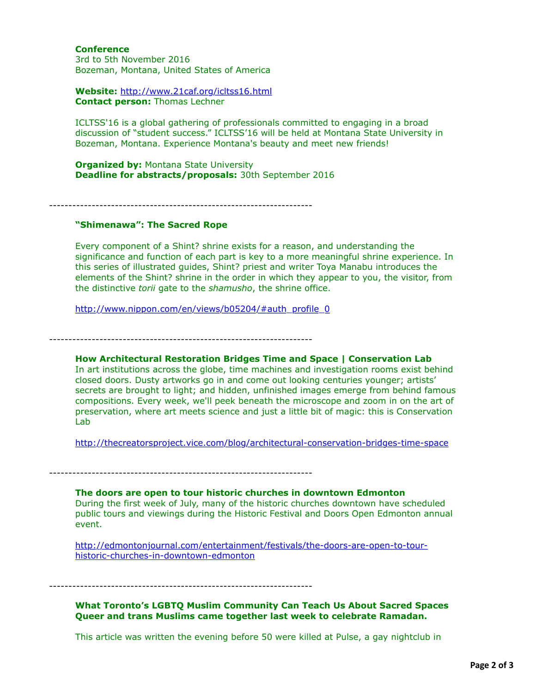### **Conference**

3rd to 5th November 2016 Bozeman, Montana, United States of America

**Website:** <http://www.21caf.org/icltss16.html> **Contact person:** Thomas Lechner

ICLTSS'16 is a global gathering of professionals committed to engaging in a broad discussion of "student success." ICLTSS'16 will be held at Montana State University in Bozeman, Montana. Experience Montana's beauty and meet new friends!

**Organized by: Montana State University Deadline for abstracts/proposals:** 30th September 2016

--------------------------------------------------------------------

# **"Shimenawa": The Sacred Rope**

Every component of a Shint? shrine exists for a reason, and understanding the significance and function of each part is key to a more meaningful shrine experience. In this series of illustrated guides, Shint? priest and writer Toya Manabu introduces the elements of the Shint? shrine in the order in which they appear to you, the visitor, from the distinctive *torii* gate to the *shamusho*, the shrine office.

[http://www.nippon.com/en/views/b05204/#auth\\_profile\\_0](http://www.nippon.com/en/views/b05204/#auth_profile_0)

--------------------------------------------------------------------

## **How Architectural Restoration Bridges Time and Space | Conservation Lab**

In art institutions across the globe, time machines and investigation rooms exist behind closed doors. Dusty artworks go in and come out looking centuries younger; artists' secrets are brought to light; and hidden, unfinished images emerge from behind famous compositions. Every week, we'll peek beneath the microscope and zoom in on the art of preservation, where art meets science and just a little bit of magic: this is Conservation Lab

<http://thecreatorsproject.vice.com/blog/architectural-conservation-bridges-time-space>

--------------------------------------------------------------------

**The doors are open to tour historic churches in downtown Edmonton** During the first week of July, many of the historic churches downtown have scheduled public tours and viewings during the Historic Festival and Doors Open Edmonton annual event.

[http://edmontonjournal.com/entertainment/festivals/the-doors-are-open-to-tour](http://edmontonjournal.com/entertainment/festivals/the-doors-are-open-to-tour-historic-churches-in-downtown-edmonton)historic-churches-in-downtown-edmonton

--------------------------------------------------------------------

# **What Toronto's LGBTQ Muslim Community Can Teach Us About Sacred Spaces Queer and trans Muslims came together last week to celebrate Ramadan.**

This article was written the evening before 50 were killed at Pulse, a gay nightclub in